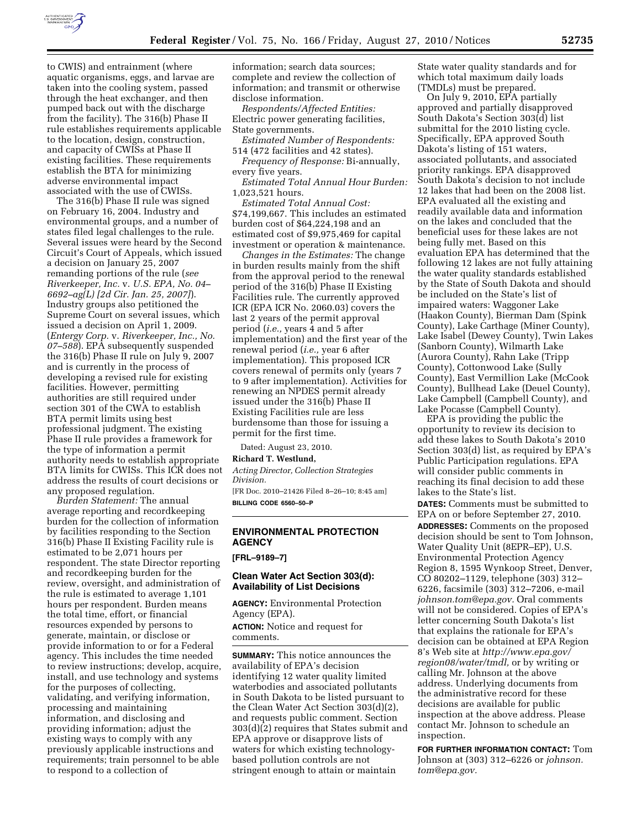

to CWIS) and entrainment (where aquatic organisms, eggs, and larvae are taken into the cooling system, passed through the heat exchanger, and then pumped back out with the discharge from the facility). The 316(b) Phase II rule establishes requirements applicable to the location, design, construction, and capacity of CWISs at Phase II existing facilities. These requirements establish the BTA for minimizing adverse environmental impact associated with the use of CWISs.

The 316(b) Phase II rule was signed on February 16, 2004. Industry and environmental groups, and a number of states filed legal challenges to the rule. Several issues were heard by the Second Circuit's Court of Appeals, which issued a decision on January 25, 2007 remanding portions of the rule (*see Riverkeeper, Inc.* v. *U.S. EPA, No. 04– 6692–ag(L) [2d Cir. Jan. 25, 2007]*). Industry groups also petitioned the Supreme Court on several issues, which issued a decision on April 1, 2009. (*Entergy Corp.* v. *Riverkeeper, Inc., No. 07–588*). EPA subsequently suspended the 316(b) Phase II rule on July 9, 2007 and is currently in the process of developing a revised rule for existing facilities. However, permitting authorities are still required under section 301 of the CWA to establish BTA permit limits using best professional judgment. The existing Phase II rule provides a framework for the type of information a permit authority needs to establish appropriate BTA limits for CWISs. This ICR does not address the results of court decisions or any proposed regulation.

*Burden Statement:* The annual average reporting and recordkeeping burden for the collection of information by facilities responding to the Section 316(b) Phase II Existing Facility rule is estimated to be 2,071 hours per respondent. The state Director reporting and recordkeeping burden for the review, oversight, and administration of the rule is estimated to average 1,101 hours per respondent. Burden means the total time, effort, or financial resources expended by persons to generate, maintain, or disclose or provide information to or for a Federal agency. This includes the time needed to review instructions; develop, acquire, install, and use technology and systems for the purposes of collecting, validating, and verifying information, processing and maintaining information, and disclosing and providing information; adjust the existing ways to comply with any previously applicable instructions and requirements; train personnel to be able to respond to a collection of

information; search data sources; complete and review the collection of information; and transmit or otherwise disclose information.

*Respondents/Affected Entities:*  Electric power generating facilities, State governments.

*Estimated Number of Respondents:*  514 (472 facilities and 42 states).

*Frequency of Response:* Bi-annually, every five years.

*Estimated Total Annual Hour Burden:*  1,023,521 hours.

*Estimated Total Annual Cost:*  \$74,199,667. This includes an estimated burden cost of \$64,224,198 and an estimated cost of \$9,975,469 for capital investment or operation & maintenance.

*Changes in the Estimates:* The change in burden results mainly from the shift from the approval period to the renewal period of the 316(b) Phase II Existing Facilities rule. The currently approved ICR (EPA ICR No. 2060.03) covers the last 2 years of the permit approval period (*i.e.,* years 4 and 5 after implementation) and the first year of the renewal period (*i.e.,* year 6 after implementation). This proposed ICR covers renewal of permits only (years 7 to 9 after implementation). Activities for renewing an NPDES permit already issued under the 316(b) Phase II Existing Facilities rule are less burdensome than those for issuing a permit for the first time.

Dated: August 23, 2010.

#### **Richard T. Westlund,**

*Acting Director, Collection Strategies Division.* 

[FR Doc. 2010–21426 Filed 8–26–10; 8:45 am] **BILLING CODE 6560–50–P** 

# **ENVIRONMENTAL PROTECTION AGENCY**

**[FRL–9189–7]** 

# **Clean Water Act Section 303(d): Availability of List Decisions**

**AGENCY:** Environmental Protection Agency (EPA).

**ACTION:** Notice and request for comments.

**SUMMARY:** This notice announces the availability of EPA's decision identifying 12 water quality limited waterbodies and associated pollutants in South Dakota to be listed pursuant to the Clean Water Act Section 303(d)(2), and requests public comment. Section 303(d)(2) requires that States submit and EPA approve or disapprove lists of waters for which existing technologybased pollution controls are not stringent enough to attain or maintain

State water quality standards and for which total maximum daily loads (TMDLs) must be prepared.

On July 9, 2010, EPA partially approved and partially disapproved South Dakota's Section 303(d) list submittal for the 2010 listing cycle. Specifically, EPA approved South Dakota's listing of 151 waters, associated pollutants, and associated priority rankings. EPA disapproved South Dakota's decision to not include 12 lakes that had been on the 2008 list. EPA evaluated all the existing and readily available data and information on the lakes and concluded that the beneficial uses for these lakes are not being fully met. Based on this evaluation EPA has determined that the following 12 lakes are not fully attaining the water quality standards established by the State of South Dakota and should be included on the State's list of impaired waters: Waggoner Lake (Haakon County), Bierman Dam (Spink County), Lake Carthage (Miner County), Lake Isabel (Dewey County), Twin Lakes (Sanborn County), Wilmarth Lake (Aurora County), Rahn Lake (Tripp County), Cottonwood Lake (Sully County), East Vermillion Lake (McCook County), Bullhead Lake (Deuel County), Lake Campbell (Campbell County), and Lake Pocasse (Campbell County).

EPA is providing the public the opportunity to review its decision to add these lakes to South Dakota's 2010 Section 303(d) list, as required by EPA's Public Participation regulations. EPA will consider public comments in reaching its final decision to add these lakes to the State's list.

**DATES:** Comments must be submitted to EPA on or before September 27, 2010. **ADDRESSES:** Comments on the proposed decision should be sent to Tom Johnson, Water Quality Unit (8EPR–EP), U.S. Environmental Protection Agency Region 8, 1595 Wynkoop Street, Denver, CO 80202–1129, telephone (303) 312– 6226, facsimile (303) 312–7206, e-mail *[johnson.tom@epa.gov.](mailto:johnson.tom@epa.gov)* Oral comments will not be considered. Copies of EPA's letter concerning South Dakota's list that explains the rationale for EPA's decision can be obtained at EPA Region 8's Web site at *[http://www.epa.gov/](http://www.epa.gov/region08/water/tmdl)  [region08/water/tmdl,](http://www.epa.gov/region08/water/tmdl)* or by writing or calling Mr. Johnson at the above address. Underlying documents from the administrative record for these decisions are available for public inspection at the above address. Please contact Mr. Johnson to schedule an inspection.

**FOR FURTHER INFORMATION CONTACT:** Tom [Johnson at \(303\) 312–6226 or](mailto:johnson.tom@epa.gov) *johnson. tom@epa.gov.*